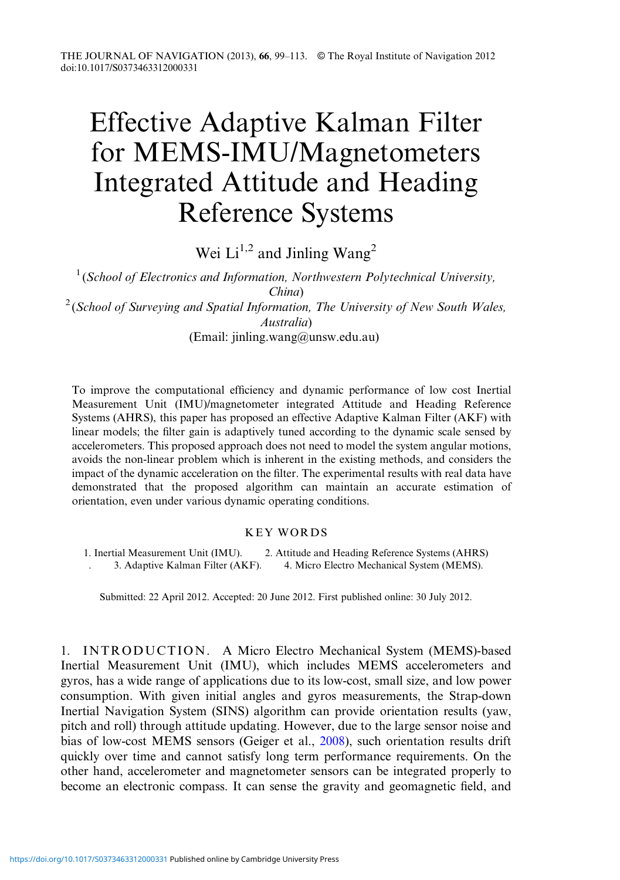# Effective Adaptive Kalman Filter for MEMS-IMU/Magnetometers Integrated Attitude and Heading Reference Systems

Wei  $Li^{1,2}$  and Jinling Wang<sup>2</sup>

 $1$ (School of Electronics and Information, Northwestern Polytechnical University, China)  $2$  (School of Surveying and Spatial Information, The University of New South Wales, Australia) (Email: jinling.wang@unsw.edu.au)

To improve the computational efficiency and dynamic performance of low cost Inertial Measurement Unit (IMU)/magnetometer integrated Attitude and Heading Reference Systems (AHRS), this paper has proposed an effective Adaptive Kalman Filter (AKF) with linear models; the filter gain is adaptively tuned according to the dynamic scale sensed by accelerometers. This proposed approach does not need to model the system angular motions, avoids the non-linear problem which is inherent in the existing methods, and considers the impact of the dynamic acceleration on the filter. The experimental results with real data have demonstrated that the proposed algorithm can maintain an accurate estimation of orientation, even under various dynamic operating conditions.

#### KEY WORDS

1. Inertial Measurement Unit (IMU). 2. Attitude and Heading Reference Systems (AHRS) . 3. Adaptive Kalman Filter (AKF). 4. Micro Electro Mechanical System (MEMS).

Submitted: 22 April 2012. Accepted: 20 June 2012. First published online: 30 July 2012.

1. INTRODUCTION. A Micro Electro Mechanical System (MEMS)-based Inertial Measurement Unit (IMU), which includes MEMS accelerometers and gyros, has a wide range of applications due to its low-cost, small size, and low power consumption. With given initial angles and gyros measurements, the Strap-down Inertial Navigation System (SINS) algorithm can provide orientation results (yaw, pitch and roll) through attitude updating. However, due to the large sensor noise and bias of low-cost MEMS sensors (Geiger et al., [2008](#page-13-0)), such orientation results drift quickly over time and cannot satisfy long term performance requirements. On the other hand, accelerometer and magnetometer sensors can be integrated properly to become an electronic compass. It can sense the gravity and geomagnetic field, and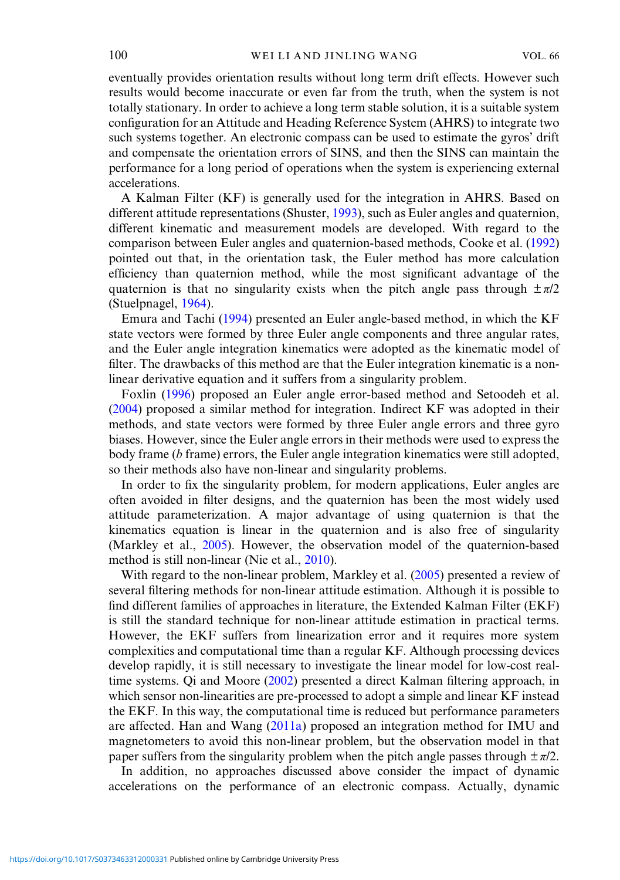eventually provides orientation results without long term drift effects. However such results would become inaccurate or even far from the truth, when the system is not totally stationary. In order to achieve a long term stable solution, it is a suitable system configuration for an Attitude and Heading Reference System (AHRS) to integrate two such systems together. An electronic compass can be used to estimate the gyros' drift and compensate the orientation errors of SINS, and then the SINS can maintain the performance for a long period of operations when the system is experiencing external accelerations.

A Kalman Filter (KF) is generally used for the integration in AHRS. Based on different attitude representations (Shuster, [1993](#page-14-0)), such as Euler angles and quaternion, different kinematic and measurement models are developed. With regard to the comparison between Euler angles and quaternion-based methods, Cooke et al. ([1992\)](#page-13-0) pointed out that, in the orientation task, the Euler method has more calculation efficiency than quaternion method, while the most significant advantage of the quaternion is that no singularity exists when the pitch angle pass through  $\pm \pi/2$ (Stuelpnagel, [1964](#page-14-0)).

Emura and Tachi [\(1994](#page-13-0)) presented an Euler angle-based method, in which the KF state vectors were formed by three Euler angle components and three angular rates, and the Euler angle integration kinematics were adopted as the kinematic model of filter. The drawbacks of this method are that the Euler integration kinematic is a nonlinear derivative equation and it suffers from a singularity problem.

Foxlin ([1996\)](#page-13-0) proposed an Euler angle error-based method and Setoodeh et al. ([2004\)](#page-14-0) proposed a similar method for integration. Indirect KF was adopted in their methods, and state vectors were formed by three Euler angle errors and three gyro biases. However, since the Euler angle errors in their methods were used to express the body frame (b frame) errors, the Euler angle integration kinematics were still adopted, so their methods also have non-linear and singularity problems.

In order to fix the singularity problem, for modern applications, Euler angles are often avoided in filter designs, and the quaternion has been the most widely used attitude parameterization. A major advantage of using quaternion is that the kinematics equation is linear in the quaternion and is also free of singularity (Markley et al., [2005\)](#page-14-0). However, the observation model of the quaternion-based method is still non-linear (Nie et al., [2010](#page-14-0)).

With regard to the non-linear problem, Markley et al. ([2005\)](#page-14-0) presented a review of several filtering methods for non-linear attitude estimation. Although it is possible to find different families of approaches in literature, the Extended Kalman Filter (EKF) is still the standard technique for non-linear attitude estimation in practical terms. However, the EKF suffers from linearization error and it requires more system complexities and computational time than a regular KF. Although processing devices develop rapidly, it is still necessary to investigate the linear model for low-cost realtime systems. Qi and Moore [\(2002](#page-14-0)) presented a direct Kalman filtering approach, in which sensor non-linearities are pre-processed to adopt a simple and linear KF instead the EKF. In this way, the computational time is reduced but performance parameters are affected. Han and Wang [\(2011a](#page-13-0)) proposed an integration method for IMU and magnetometers to avoid this non-linear problem, but the observation model in that paper suffers from the singularity problem when the pitch angle passes through  $\pm \pi/2$ .

In addition, no approaches discussed above consider the impact of dynamic accelerations on the performance of an electronic compass. Actually, dynamic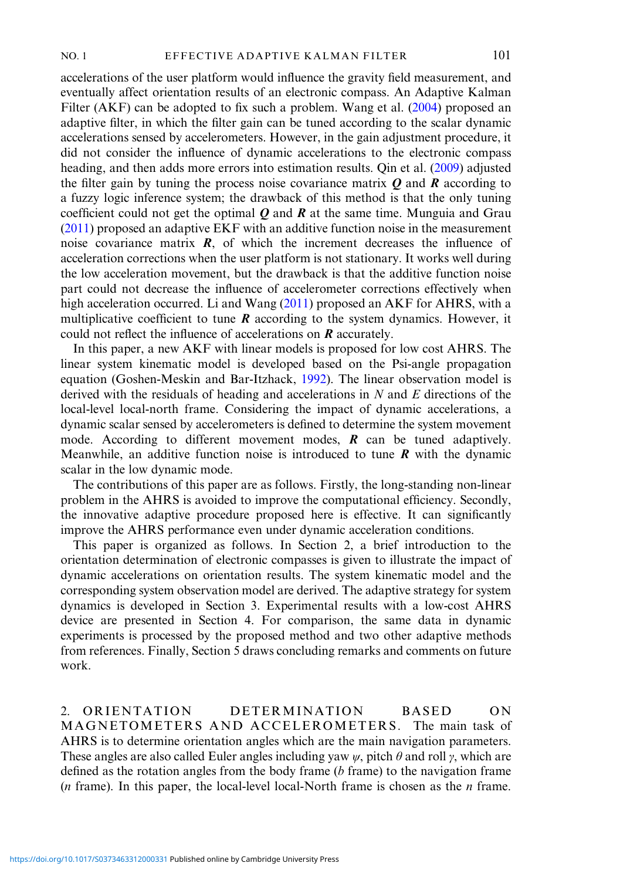accelerations of the user platform would influence the gravity field measurement, and eventually affect orientation results of an electronic compass. An Adaptive Kalman Filter (AKF) can be adopted to fix such a problem. Wang et al. ([2004\)](#page-14-0) proposed an adaptive filter, in which the filter gain can be tuned according to the scalar dynamic accelerations sensed by accelerometers. However, in the gain adjustment procedure, it did not consider the influence of dynamic accelerations to the electronic compass heading, and then adds more errors into estimation results. Qin et al. [\(2009](#page-14-0)) adjusted the filter gain by tuning the process noise covariance matrix  $\boldsymbol{O}$  and  $\boldsymbol{R}$  according to a fuzzy logic inference system; the drawback of this method is that the only tuning coefficient could not get the optimal  $Q$  and  $R$  at the same time. Munguia and Grau [\(2011](#page-14-0)) proposed an adaptive EKF with an additive function noise in the measurement noise covariance matrix  $\mathbf{R}$ , of which the increment decreases the influence of acceleration corrections when the user platform is not stationary. It works well during the low acceleration movement, but the drawback is that the additive function noise part could not decrease the influence of accelerometer corrections effectively when high acceleration occurred. Li and Wang ([2011\)](#page-13-0) proposed an AKF for AHRS, with a multiplicative coefficient to tune  $R$  according to the system dynamics. However, it could not reflect the influence of accelerations on  *accurately.* 

In this paper, a new AKF with linear models is proposed for low cost AHRS. The linear system kinematic model is developed based on the Psi-angle propagation equation (Goshen-Meskin and Bar-Itzhack, [1992\)](#page-13-0). The linear observation model is derived with the residuals of heading and accelerations in  $N$  and  $E$  directions of the local-level local-north frame. Considering the impact of dynamic accelerations, a dynamic scalar sensed by accelerometers is defined to determine the system movement mode. According to different movement modes,  $R$  can be tuned adaptively. Meanwhile, an additive function noise is introduced to tune  $\bf{R}$  with the dynamic scalar in the low dynamic mode.

The contributions of this paper are as follows. Firstly, the long-standing non-linear problem in the AHRS is avoided to improve the computational efficiency. Secondly, the innovative adaptive procedure proposed here is effective. It can significantly improve the AHRS performance even under dynamic acceleration conditions.

This paper is organized as follows. In Section 2, a brief introduction to the orientation determination of electronic compasses is given to illustrate the impact of dynamic accelerations on orientation results. The system kinematic model and the corresponding system observation model are derived. The adaptive strategy for system dynamics is developed in Section 3. Experimental results with a low-cost AHRS device are presented in Section 4. For comparison, the same data in dynamic experiments is processed by the proposed method and two other adaptive methods from references. Finally, Section 5 draws concluding remarks and comments on future work.

2. ORIENTATION DETERMINATION BASED ON MAGNETOMETERS AND ACCELEROMETERS. The main task of AHRS is to determine orientation angles which are the main navigation parameters. These angles are also called Euler angles including yaw  $\psi$ , pitch  $\theta$  and roll  $\gamma$ , which are defined as the rotation angles from the body frame  $(b \text{ frame})$  to the navigation frame ( $n$  frame). In this paper, the local-level local-North frame is chosen as the  $n$  frame.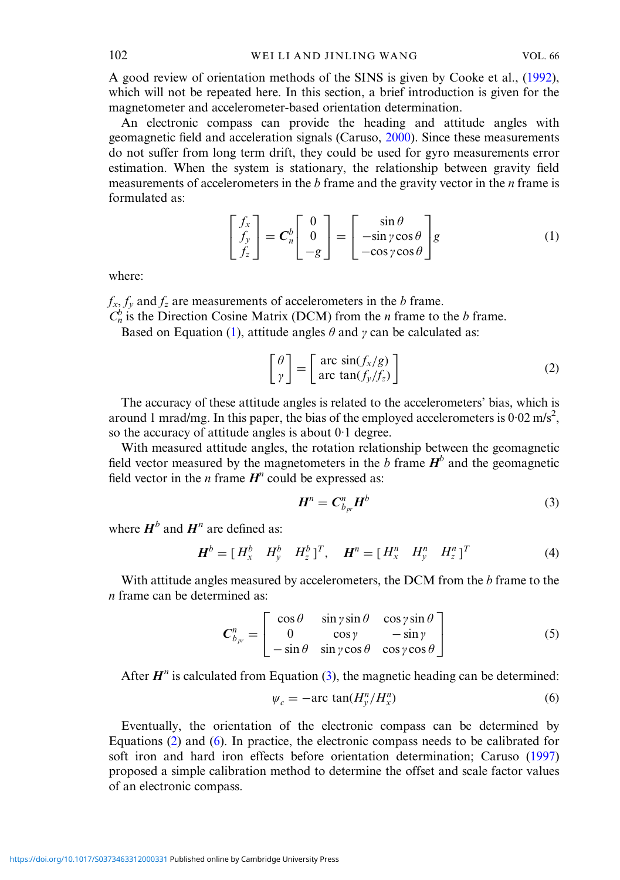<span id="page-3-0"></span>A good review of orientation methods of the SINS is given by Cooke et al., [\(1992](#page-13-0)), which will not be repeated here. In this section, a brief introduction is given for the magnetometer and accelerometer-based orientation determination.

An electronic compass can provide the heading and attitude angles with geomagnetic field and acceleration signals (Caruso, [2000\)](#page-13-0). Since these measurements do not suffer from long term drift, they could be used for gyro measurements error estimation. When the system is stationary, the relationship between gravity field measurements of accelerometers in the  $b$  frame and the gravity vector in the  $n$  frame is formulated as:

$$
\begin{bmatrix} f_x \\ f_y \\ f_z \end{bmatrix} = \mathbf{C}_n^b \begin{bmatrix} 0 \\ 0 \\ -g \end{bmatrix} = \begin{bmatrix} \sin \theta \\ -\sin \gamma \cos \theta \\ -\cos \gamma \cos \theta \end{bmatrix} g \tag{1}
$$

where:

 $f_x, f_y$  and  $f_z$  are measurements of accelerometers in the b frame.

 $C_n^b$  is the Direction Cosine Matrix (DCM) from the *n* frame to the *b* frame.

Based on Equation (1), attitude angles  $\theta$  and  $\gamma$  can be calculated as:

$$
\begin{bmatrix} \theta \\ \gamma \end{bmatrix} = \begin{bmatrix} \arcsin(f_x/g) \\ \arctan(f_y/f_z) \end{bmatrix}
$$
 (2)

The accuracy of these attitude angles is related to the accelerometers' bias, which is around 1 mrad/mg. In this paper, the bias of the employed accelerometers is  $0.02 \text{ m/s}^2$ , so the accuracy of attitude angles is about 0·1 degree.

With measured attitude angles, the rotation relationship between the geomagnetic field vector measured by the magnetometers in the b frame  $H^b$  and the geomagnetic field vector in the *n* frame  $H^n$  could be expressed as:

$$
\boldsymbol{H}^n = \boldsymbol{C}_{b_{pr}}^n \boldsymbol{H}^b \tag{3}
$$

where  $H^b$  and  $H^n$  are defined as:

$$
\boldsymbol{H}^b = \begin{bmatrix} H_x^b & H_y^b & H_z^b \end{bmatrix}^T, \quad \boldsymbol{H}^n = \begin{bmatrix} H_x^n & H_y^n & H_z^n \end{bmatrix}^T \tag{4}
$$

With attitude angles measured by accelerometers, the DCM from the  $b$  frame to the n frame can be determined as:

$$
\boldsymbol{C}_{b_{pr}}^{n} = \begin{bmatrix} \cos\theta & \sin\gamma\sin\theta & \cos\gamma\sin\theta\\ 0 & \cos\gamma & -\sin\gamma\\ -\sin\theta & \sin\gamma\cos\theta & \cos\gamma\cos\theta \end{bmatrix} \tag{5}
$$

After  $H<sup>n</sup>$  is calculated from Equation (3), the magnetic heading can be determined:

$$
\psi_c = -\arctan(H_y^n / H_x^n) \tag{6}
$$

Eventually, the orientation of the electronic compass can be determined by Equations (2) and (6). In practice, the electronic compass needs to be calibrated for soft iron and hard iron effects before orientation determination; Caruso ([1997\)](#page-13-0) proposed a simple calibration method to determine the offset and scale factor values of an electronic compass.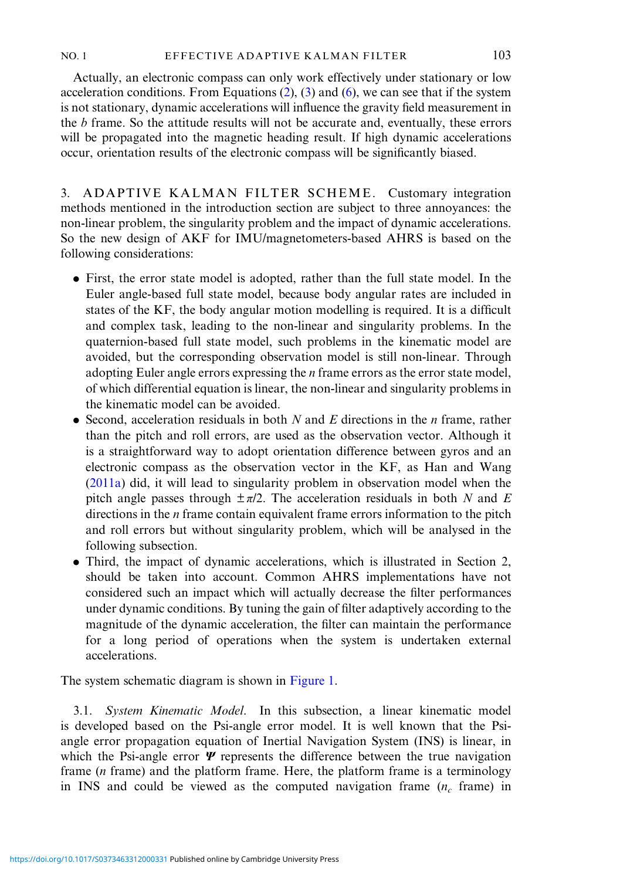### NO. 1 EFFECTIVE ADAPTIVE KALMAN FILTER 103

Actually, an electronic compass can only work effectively under stationary or low acceleration conditions. From Equations  $(2)$  $(2)$ ,  $(3)$  $(3)$  and  $(6)$  $(6)$ , we can see that if the system is not stationary, dynamic accelerations will influence the gravity field measurement in the b frame. So the attitude results will not be accurate and, eventually, these errors will be propagated into the magnetic heading result. If high dynamic accelerations occur, orientation results of the electronic compass will be significantly biased.

3. ADAPTIVE KALMAN FILTER SCHEME. Customary integration methods mentioned in the introduction section are subject to three annoyances: the non-linear problem, the singularity problem and the impact of dynamic accelerations. So the new design of AKF for IMU/magnetometers-based AHRS is based on the following considerations:

- . First, the error state model is adopted, rather than the full state model. In the Euler angle-based full state model, because body angular rates are included in states of the KF, the body angular motion modelling is required. It is a difficult and complex task, leading to the non-linear and singularity problems. In the quaternion-based full state model, such problems in the kinematic model are avoided, but the corresponding observation model is still non-linear. Through adopting Euler angle errors expressing the n frame errors as the error state model, of which differential equation is linear, the non-linear and singularity problems in the kinematic model can be avoided.
- Second, acceleration residuals in both N and E directions in the  $n$  frame, rather than the pitch and roll errors, are used as the observation vector. Although it is a straightforward way to adopt orientation difference between gyros and an electronic compass as the observation vector in the KF, as Han and Wang [\(2011a](#page-13-0)) did, it will lead to singularity problem in observation model when the pitch angle passes through  $\pm \pi/2$ . The acceleration residuals in both N and E directions in the n frame contain equivalent frame errors information to the pitch and roll errors but without singularity problem, which will be analysed in the following subsection.
- . Third, the impact of dynamic accelerations, which is illustrated in Section 2, should be taken into account. Common AHRS implementations have not considered such an impact which will actually decrease the filter performances under dynamic conditions. By tuning the gain of filter adaptively according to the magnitude of the dynamic acceleration, the filter can maintain the performance for a long period of operations when the system is undertaken external accelerations.

The system schematic diagram is shown in [Figure 1](#page-5-0).

3.1. System Kinematic Model. In this subsection, a linear kinematic model is developed based on the Psi-angle error model. It is well known that the Psiangle error propagation equation of Inertial Navigation System (INS) is linear, in which the Psi-angle error  $\Psi$  represents the difference between the true navigation frame (n frame) and the platform frame. Here, the platform frame is a terminology in INS and could be viewed as the computed navigation frame  $(n_c \text{ frame})$  in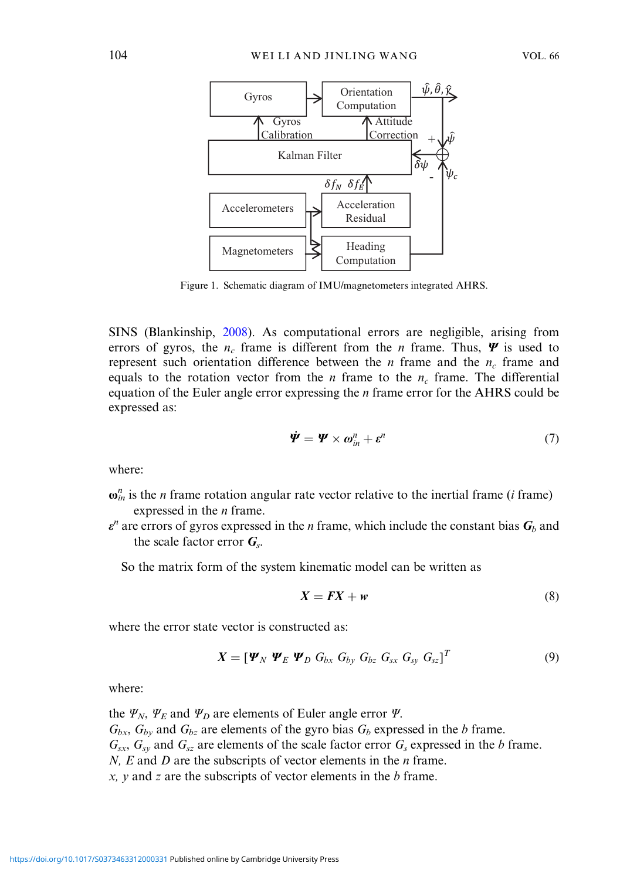<span id="page-5-0"></span>

Figure 1. Schematic diagram of IMU/magnetometers integrated AHRS.

SINS (Blankinship, [2008](#page-13-0)). As computational errors are negligible, arising from errors of gyros, the  $n_c$  frame is different from the n frame. Thus,  $\Psi$  is used to represent such orientation difference between the *n* frame and the  $n_c$  frame and equals to the rotation vector from the *n* frame to the  $n_c$  frame. The differential equation of the Euler angle error expressing the n frame error for the AHRS could be expressed as:

$$
\dot{\mathbf{\Psi}} = \mathbf{\Psi} \times \boldsymbol{\omega}_{in}^{n} + \boldsymbol{\varepsilon}^{n} \tag{7}
$$

where:

- $\omega_m^n$  is the *n* frame rotation angular rate vector relative to the inertial frame (*i* frame) expressed in the *n* frame.
- $\epsilon^n$  are errors of gyros expressed in the *n* frame, which include the constant bias  $G_b$  and the scale factor error  $\epsilon$ the scale factor error  $G_s$ .

So the matrix form of the system kinematic model can be written as

$$
X = FX + w \tag{8}
$$

where the error state vector is constructed as:

$$
X = \left[\boldsymbol{\varPsi}_{N} \boldsymbol{\varPsi}_{E} \boldsymbol{\varPsi}_{D} G_{bx} G_{by} G_{bz} G_{sx} G_{sy} G_{sz}\right]^{T}
$$
\n(9)

where:

the  $\Psi_N$ ,  $\Psi_E$  and  $\Psi_D$  are elements of Euler angle error  $\Psi$ .  $G_{bx}$ ,  $G_{by}$  and  $G_{bz}$  are elements of the gyro bias  $G_b$  expressed in the b frame.  $G_{sx}$ ,  $G_{sv}$  and  $G_{sz}$  are elements of the scale factor error  $G_s$  expressed in the b frame.  $N$ ,  $E$  and  $D$  are the subscripts of vector elements in the  $n$  frame.  $x, y$  and z are the subscripts of vector elements in the b frame.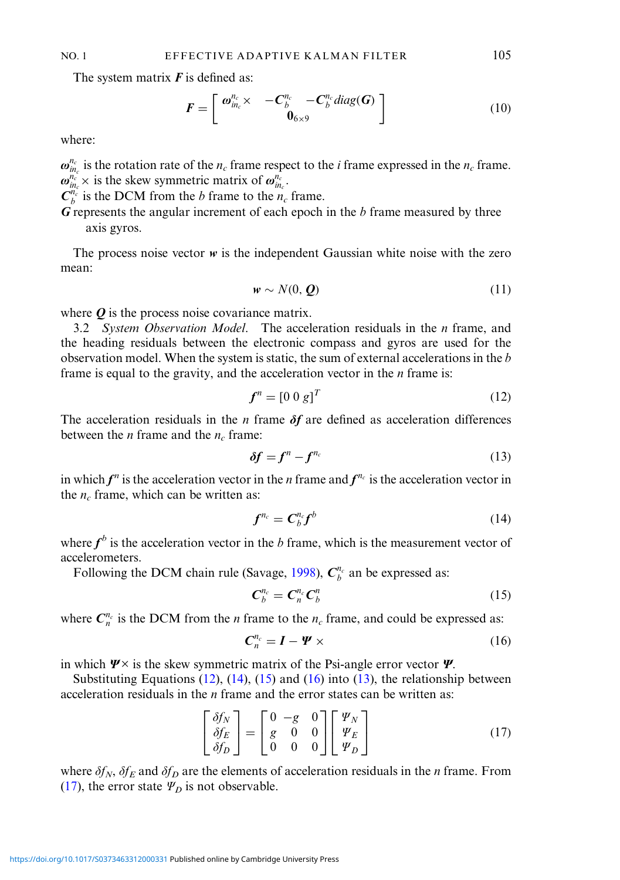<span id="page-6-0"></span>

The system matrix  $\vec{F}$  is defined as:

$$
F = \begin{bmatrix} \boldsymbol{\omega}_{\textit{in}_c}^{n_c} \times & -\boldsymbol{C}_{\textit{b}}^{n_c} & -\boldsymbol{C}_{\textit{b}}^{n_c} \textit{diag}(\boldsymbol{G}) \\ \boldsymbol{0}_{6 \times 9} & \end{bmatrix}
$$
 (10)

where:

 $\omega_{in_c}^{n_c}$  is the rotation rate of the  $n_c$  frame respect to the *i* frame expressed in the  $n_c$  frame.  $\omega_{in_c}^{n_c} \times$  is the skew symmetric matrix of  $\omega_{in_c}^{n_c}$ .

 $C_b^{\overline{n}_c}$  is the DCM from the b frame to the  $n_c$  frame.<br>G represents the appular increment of each enoch.

 $\overline{G}$  represents the angular increment of each epoch in the  $b$  frame measured by three axis gyros.

The process noise vector  $w$  is the independent Gaussian white noise with the zero mean:

$$
w \sim N(0, \mathbf{Q}) \tag{11}
$$

where  $\boldsymbol{O}$  is the process noise covariance matrix.

3.2 System Observation Model. The acceleration residuals in the  $n$  frame, and the heading residuals between the electronic compass and gyros are used for the observation model. When the system is static, the sum of external accelerations in the  $b$ frame is equal to the gravity, and the acceleration vector in the  $n$  frame is:

$$
f^n = \begin{bmatrix} 0 & 0 & g \end{bmatrix}^T \tag{12}
$$

The acceleration residuals in the *n* frame  $\delta f$  are defined as acceleration differences between the *n* frame and the  $n_c$  frame:

$$
\delta f = f^n - f^{n_c} \tag{13}
$$

in which  $f^n$  is the acceleration vector in the *n* frame and  $f^{n_c}$  is the acceleration vector in the  $n_c$  frame, which can be written as:

$$
f^{n_c} = C_b^{n_c} f^b \tag{14}
$$

where  $f^b$  is the acceleration vector in the b frame, which is the measurement vector of accelerometers accelerometers.

Following the DCM chain rule (Savage, [1998](#page-14-0)),  $C_b^{n_c}$  an be expressed as:

$$
\mathbf{C}_b^{n_c} = \mathbf{C}_n^{n_c} \mathbf{C}_b^n \tag{15}
$$

where  $C_n^{n_c}$  is the DCM from the *n* frame to the  $n_c$  frame, and could be expressed as:

$$
\mathbf{C}_n^{n_c} = \mathbf{I} - \mathbf{\Psi} \times \tag{16}
$$

in which  $\Psi \times$  is the skew symmetric matrix of the Psi-angle error vector  $\Psi$ .

Substituting Equations  $(12)$ ,  $(14)$ ,  $(15)$  and  $(16)$  into  $(13)$ , the relationship between acceleration residuals in the *n* frame and the error states can be written as:

$$
\begin{bmatrix}\n\delta f_N \\
\delta f_E \\
\delta f_D\n\end{bmatrix} = \begin{bmatrix}\n0 & -g & 0 \\
g & 0 & 0 \\
0 & 0 & 0\n\end{bmatrix} \begin{bmatrix}\n\Psi_N \\
\Psi_E \\
\Psi_D\n\end{bmatrix}
$$
\n(17)

where  $\delta f_N$ ,  $\delta f_E$  and  $\delta f_D$  are the elements of acceleration residuals in the *n* frame. From (17), the error state  $\Psi_D$  is not observable.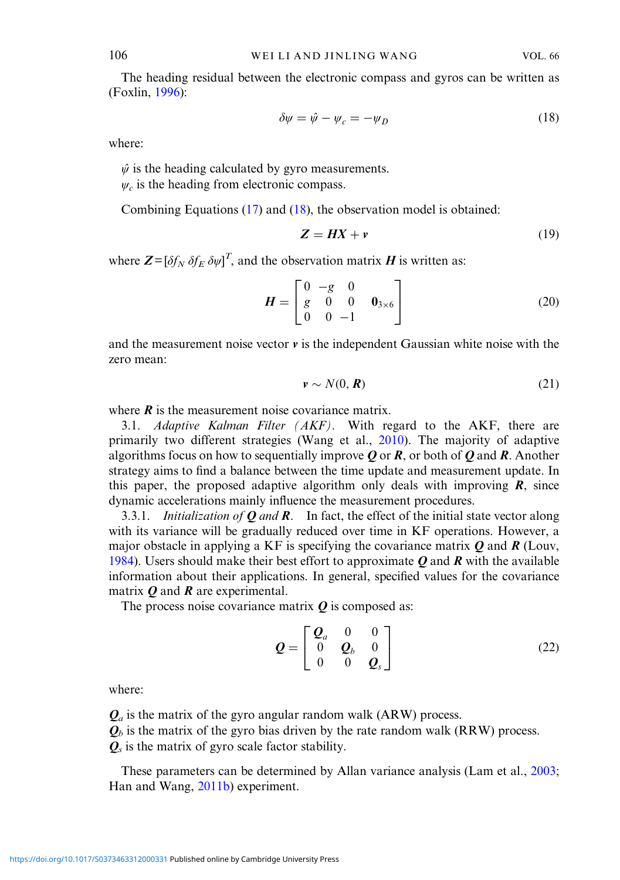The heading residual between the electronic compass and gyros can be written as (Foxlin, [1996](#page-13-0)):

$$
\delta \psi = \hat{\psi} - \psi_c = -\psi_D \tag{18}
$$

where:

 $\hat{\psi}$  is the heading calculated by gyro measurements.  $\psi_c$  is the heading from electronic compass.

Combining Equations ([17\)](#page-6-0) and (18), the observation model is obtained:

$$
Z = HX + v \tag{19}
$$

where  $\mathbf{Z} = [\delta f_N \delta f_E \delta \psi]^T$ , and the observation matrix  $\mathbf{H}$  is written as:

$$
\boldsymbol{H} = \begin{bmatrix} 0 & -g & 0 \\ g & 0 & 0 & \mathbf{0}_{3\times6} \\ 0 & 0 & -1 & \end{bmatrix}
$$
 (20)

and the measurement noise vector  $\nu$  is the independent Gaussian white noise with the zero mean:

$$
\nu \sim N(0, R) \tag{21}
$$

where  $\bf{R}$  is the measurement noise covariance matrix.

3.1. Adaptive Kalman Filter  $(AKF)$ . With regard to the AKF, there are primarily two different strategies (Wang et al., [2010](#page-14-0)). The majority of adaptive algorithms focus on how to sequentially improve  $Q$  or  $R$ , or both of  $Q$  and  $R$ . Another strategy aims to find a balance between the time update and measurement update. In this paper, the proposed adaptive algorithm only deals with improving  $\mathbf{R}$ , since dynamic accelerations mainly influence the measurement procedures.

3.3.1. *Initialization of Q and R*. In fact, the effect of the initial state vector along with its variance will be gradually reduced over time in KF operations. However, a major obstacle in applying a KF is specifying the covariance matrix  $Q$  and  $R$  (Louv, [1984](#page-13-0)). Users should make their best effort to approximate  $Q$  and  $R$  with the available information about their applications. In general, specified values for the covariance matrix  $\boldsymbol{O}$  and  $\boldsymbol{R}$  are experimental.

The process noise covariance matrix  $\boldsymbol{0}$  is composed as:

$$
\mathbf{Q} = \begin{bmatrix} \mathbf{Q}_a & 0 & 0 \\ 0 & \mathbf{Q}_b & 0 \\ 0 & 0 & \mathbf{Q}_s \end{bmatrix} \tag{22}
$$

where:

 $Q_a$  is the matrix of the gyro angular random walk (ARW) process.  $Q_b$  is the matrix of the gyro bias driven by the rate random walk (RRW) process.  $Q<sub>s</sub>$  is the matrix of gyro scale factor stability.

These parameters can be determined by Allan variance analysis (Lam et al., [2003](#page-13-0); Han and Wang, [2011b\)](#page-13-0) experiment.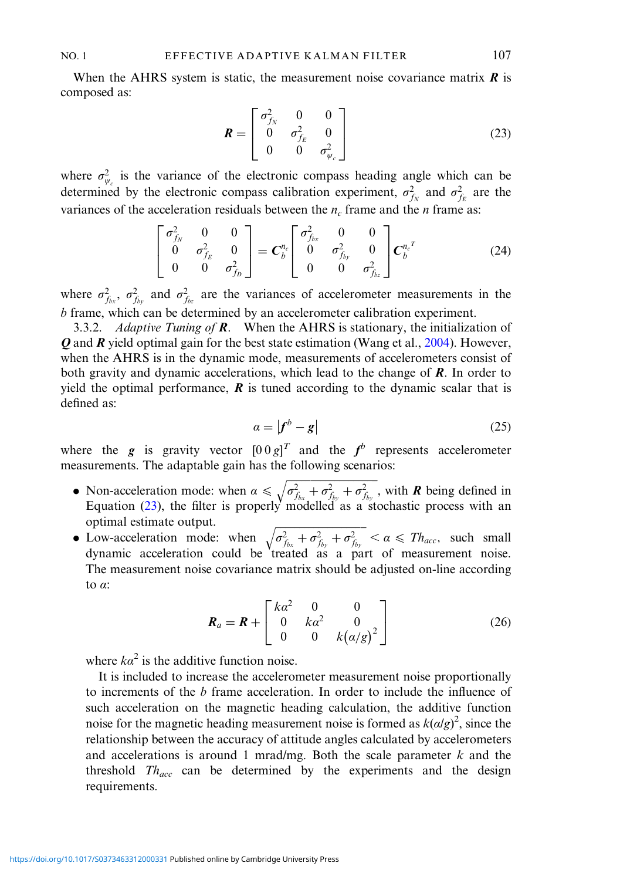When the AHRS system is static, the measurement noise covariance matrix  $\bf{R}$  is composed as:

$$
\boldsymbol{R} = \begin{bmatrix} \sigma_{f_N}^2 & 0 & 0 \\ 0 & \sigma_{f_E}^2 & 0 \\ 0 & 0 & \sigma_{\psi_c}^2 \end{bmatrix}
$$
 (23)

where  $\sigma_{\psi_c}^2$  is the variance of the electronic compass heading angle which can be determined by the electronic compass calibration experiment,  $\sigma_{f_N}^2$  and  $\sigma_{f_E}^2$  are the variances of the acceleration residuals between the  $n_c$  frame and the *n* frame as:

$$
\begin{bmatrix} \sigma_{f_N}^2 & 0 & 0 \\ 0 & \sigma_{f_E}^2 & 0 \\ 0 & 0 & \sigma_{f_D}^2 \end{bmatrix} = \mathbf{C}_{b}^{n_c} \begin{bmatrix} \sigma_{f_{bx}}^2 & 0 & 0 \\ 0 & \sigma_{f_{by}}^2 & 0 \\ 0 & 0 & \sigma_{f_{bz}}^2 \end{bmatrix} \mathbf{C}_{b}^{n_c}^{T}
$$
(24)

where  $\sigma_{f_{bx}}^2$ ,  $\sigma_{f_{by}}^2$  and  $\sigma_{f_{bz}}^2$  are the variances of accelerometer measurements in the b frame, which can be determined by an accelerometer calibration experiment.

3.3.2. Adaptive Tuning of  $\mathbb R$ . When the AHRS is stationary, the initialization of **O** and **R** yield optimal gain for the best state estimation (Wang et al., [2004\)](#page-14-0). However, when the AHRS is in the dynamic mode, measurements of accelerometers consist of both gravity and dynamic accelerations, which lead to the change of *. In order to* yield the optimal performance,  $\bf{R}$  is tuned according to the dynamic scalar that is defined as:

$$
a = |f^{b} - g|
$$
 (25)

where the g is gravity vector  $[0 \text{ } g]^T$  and the  $f^b$  represents accelerometer measurements. The adaptable gain has the following scenarios: measurements. The adaptable gain has the following scenarios:

- Non-acceleration mode: when  $\alpha \leq \sqrt{\sigma_{f_{bx}}^2 + \sigma_{f_{by}}^2 + \sigma_{f_{by}}^2}$ , with **R** being defined in Equation (23), the filter is properly modelled as a stochastic process with an optimal estimate output.
- Low-acceleration mode: when  $\sqrt{\sigma_{f_{bx}}^2 + \sigma_{f_{by}}^2 + \sigma_{f_{by}}^2} < \alpha \leq T h_{acc}$ , such small dynamic acceleration could be treated as a part of measurement noise. The measurement noise covariance matrix should be adjusted on-line according to α:

$$
\boldsymbol{R}_a = \boldsymbol{R} + \begin{bmatrix} k\alpha^2 & 0 & 0 \\ 0 & k\alpha^2 & 0 \\ 0 & 0 & k(a/g)^2 \end{bmatrix}
$$
 (26)

where  $k\alpha^2$  is the additive function noise.

It is included to increase the accelerometer measurement noise proportionally to increments of the b frame acceleration. In order to include the influence of such acceleration on the magnetic heading calculation, the additive function noise for the magnetic heading measurement noise is formed as  $k(\alpha/g)^2$ , since the relationship between the accuracy of attitude angles calculated by accelerometers and accelerations is around 1 mrad/mg. Both the scale parameter  $k$  and the threshold  $Th_{acc}$  can be determined by the experiments and the design requirements.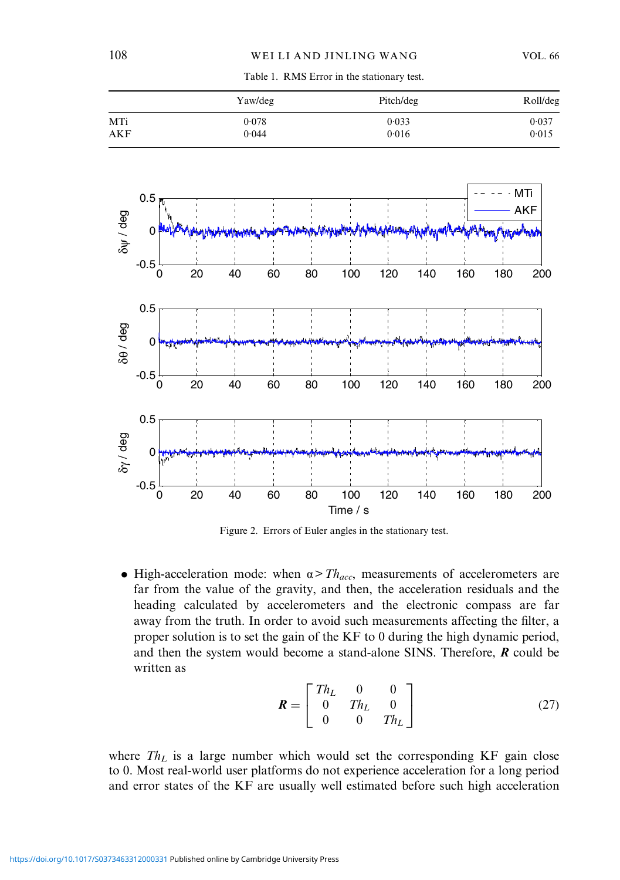Table 1. RMS Error in the stationary test.

<span id="page-9-0"></span>

|            | Yaw/deg | Pitch/deg | Roll/deg |
|------------|---------|-----------|----------|
| MTi        | 0.078   | 0.033     | 0.037    |
| <b>AKF</b> | 0.044   | 0.016     | 0.015    |



Figure 2. Errors of Euler angles in the stationary test.

• High-acceleration mode: when  $\alpha > Th_{acc}$ , measurements of accelerometers are far from the value of the gravity, and then, the acceleration residuals and the heading calculated by accelerometers and the electronic compass are far away from the truth. In order to avoid such measurements affecting the filter, a proper solution is to set the gain of the KF to 0 during the high dynamic period, and then the system would become a stand-alone SINS. Therefore,  $\boldsymbol{R}$  could be written as

$$
\mathbf{R} = \begin{bmatrix} Th_L & 0 & 0 \\ 0 & Th_L & 0 \\ 0 & 0 & Th_L \end{bmatrix}
$$
 (27)

where  $Th_L$  is a large number which would set the corresponding KF gain close to 0. Most real-world user platforms do not experience acceleration for a long period and error states of the KF are usually well estimated before such high acceleration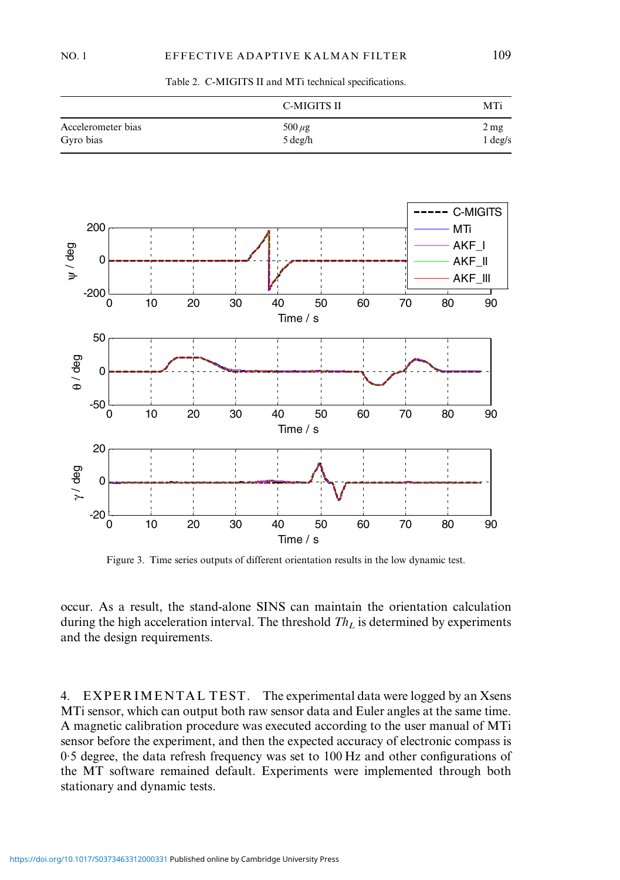<span id="page-10-0"></span>

Table 2. C-MIGITS II and MTi technical specifications.

Figure 3. Time series outputs of different orientation results in the low dynamic test.

occur. As a result, the stand-alone SINS can maintain the orientation calculation during the high acceleration interval. The threshold  $Th<sub>L</sub>$  is determined by experiments and the design requirements.

4. EXPERIMENTAL TEST. The experimental data were logged by an Xsens MTi sensor, which can output both raw sensor data and Euler angles at the same time. A magnetic calibration procedure was executed according to the user manual of MTi sensor before the experiment, and then the expected accuracy of electronic compass is 0·5 degree, the data refresh frequency was set to 100 Hz and other configurations of the MT software remained default. Experiments were implemented through both stationary and dynamic tests.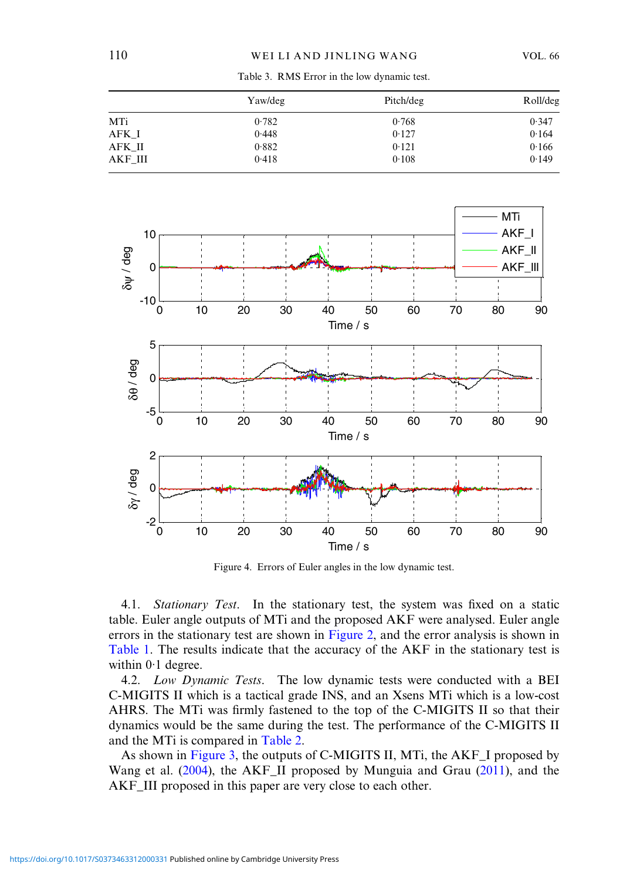Table 3. RMS Error in the low dynamic test.

<span id="page-11-0"></span>

|         | Yaw/deg | Pitch/deg | Roll/deg |
|---------|---------|-----------|----------|
| MTi     | 0.782   | 0.768     | 0.347    |
| AFK I   | 0.448   | 0.127     | 0.164    |
| AFK II  | 0.882   | 0.121     | 0.166    |
| AKF III | 0.418   | 0.108     | 0.149    |



Figure 4. Errors of Euler angles in the low dynamic test.

4.1. Stationary Test. In the stationary test, the system was fixed on a static table. Euler angle outputs of MTi and the proposed AKF were analysed. Euler angle errors in the stationary test are shown in [Figure 2,](#page-9-0) and the error analysis is shown in [Table 1](#page-9-0). The results indicate that the accuracy of the AKF in the stationary test is within 0·1 degree.

4.2. Low Dynamic Tests. The low dynamic tests were conducted with a BEI C-MIGITS II which is a tactical grade INS, and an Xsens MTi which is a low-cost AHRS. The MTi was firmly fastened to the top of the C-MIGITS II so that their dynamics would be the same during the test. The performance of the C-MIGITS II and the MTi is compared in [Table 2.](#page-10-0)

As shown in [Figure 3](#page-10-0), the outputs of C-MIGITS II, MTi, the AKF\_I proposed by Wang et al. [\(2004](#page-14-0)), the AKF\_II proposed by Munguia and Grau ([2011\)](#page-14-0), and the AKF. III proposed in this paper are very close to each other.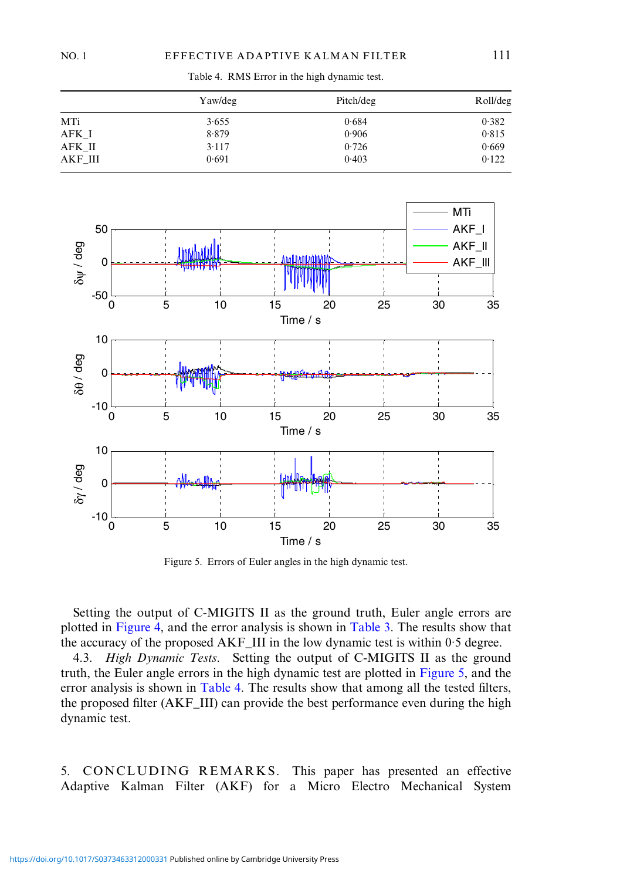|         | Yaw/deg | Pitch/deg | Roll/deg |
|---------|---------|-----------|----------|
| MTi     | 3.655   | 0.684     | 0.382    |
| AFK I   | 8.879   | 0.906     | 0.815    |
| AFK II  | 3.117   | 0.726     | 0.669    |
| AKF III | 0.691   | 0.403     | 0.122    |
|         |         |           |          |

Table 4. RMS Error in the high dynamic test.



Figure 5. Errors of Euler angles in the high dynamic test.

Setting the output of C-MIGITS II as the ground truth, Euler angle errors are plotted in [Figure 4,](#page-11-0) and the error analysis is shown in [Table 3.](#page-11-0) The results show that the accuracy of the proposed AKF\_III in the low dynamic test is within 0·5 degree.

4.3. High Dynamic Tests. Setting the output of C-MIGITS II as the ground truth, the Euler angle errors in the high dynamic test are plotted in Figure 5, and the error analysis is shown in Table 4. The results show that among all the tested filters, the proposed filter (AKF\_III) can provide the best performance even during the high dynamic test.

5. CONCLUDING REMARKS. This paper has presented an effective Adaptive Kalman Filter (AKF) for a Micro Electro Mechanical System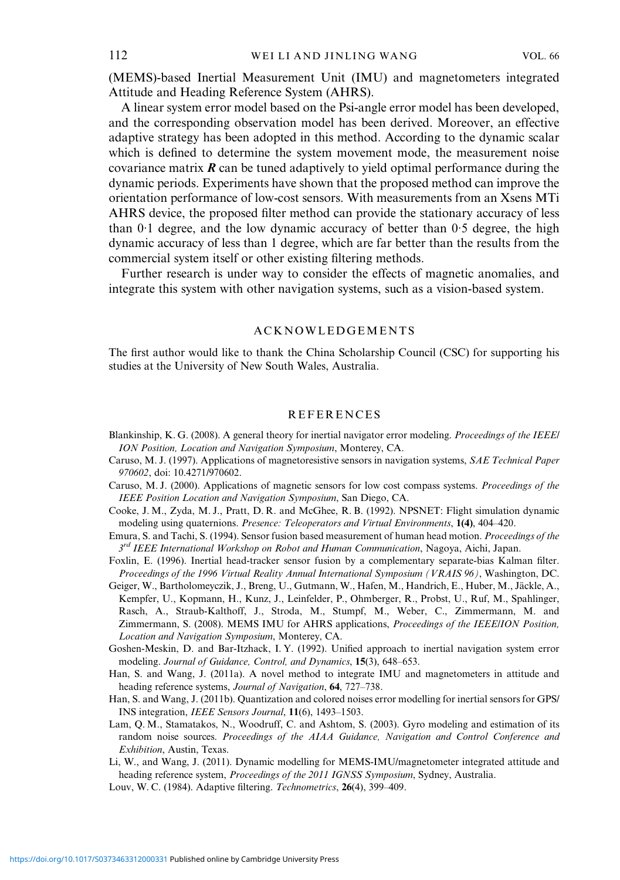<span id="page-13-0"></span>(MEMS)-based Inertial Measurement Unit (IMU) and magnetometers integrated Attitude and Heading Reference System (AHRS).

A linear system error model based on the Psi-angle error model has been developed, and the corresponding observation model has been derived. Moreover, an effective adaptive strategy has been adopted in this method. According to the dynamic scalar which is defined to determine the system movement mode, the measurement noise covariance matrix  $R$  can be tuned adaptively to yield optimal performance during the dynamic periods. Experiments have shown that the proposed method can improve the orientation performance of low-cost sensors. With measurements from an Xsens MTi AHRS device, the proposed filter method can provide the stationary accuracy of less than 0·1 degree, and the low dynamic accuracy of better than 0·5 degree, the high dynamic accuracy of less than 1 degree, which are far better than the results from the commercial system itself or other existing filtering methods.

Further research is under way to consider the effects of magnetic anomalies, and integrate this system with other navigation systems, such as a vision-based system.

## ACKNOWLEDGEMENTS

The first author would like to thank the China Scholarship Council (CSC) for supporting his studies at the University of New South Wales, Australia.

#### REFERENCES

- Blankinship, K. G. (2008). A general theory for inertial navigator error modeling. Proceedings of the IEEE/ ION Position, Location and Navigation Symposium, Monterey, CA.
- Caruso, M. J. (1997). Applications of magnetoresistive sensors in navigation systems, SAE Technical Paper 970602, doi: 10.4271/970602.
- Caruso, M. J. (2000). Applications of magnetic sensors for low cost compass systems. Proceedings of the IEEE Position Location and Navigation Symposium, San Diego, CA.
- Cooke, J. M., Zyda, M. J., Pratt, D. R. and McGhee, R. B. (1992). NPSNET: Flight simulation dynamic modeling using quaternions. Presence: Teleoperators and Virtual Environments, 1(4), 404–420.
- Emura, S. and Tachi, S. (1994). Sensor fusion based measurement of human head motion. Proceedings of the  $3^{rd}$  IEEE International Workshop on Robot and Human Communication, Nagoya, Aichi, Japan.
- Foxlin, E. (1996). Inertial head-tracker sensor fusion by a complementary separate-bias Kalman filter. Proceedings of the 1996 Virtual Reality Annual International Symposium (VRAIS 96), Washington, DC.
- Geiger, W., Bartholomeyczik, J., Breng, U., Gutmann, W., Hafen, M., Handrich, E., Huber, M., Jäckle, A., Kempfer, U., Kopmann, H., Kunz, J., Leinfelder, P., Ohmberger, R., Probst, U., Ruf, M., Spahlinger, Rasch, A., Straub-Kalthoff, J., Stroda, M., Stumpf, M., Weber, C., Zimmermann, M. and Zimmermann, S. (2008). MEMS IMU for AHRS applications, Proceedings of the IEEE/ION Position, Location and Navigation Symposium, Monterey, CA.
- Goshen-Meskin, D. and Bar-Itzhack, I. Y. (1992). Unified approach to inertial navigation system error modeling. Journal of Guidance, Control, and Dynamics, 15(3), 648–653.
- Han, S. and Wang, J. (2011a). A novel method to integrate IMU and magnetometers in attitude and heading reference systems, *Journal of Navigation*, **64**, 727–738.
- Han, S. and Wang, J. (2011b). Quantization and colored noises error modelling for inertial sensors for GPS/ INS integration, IEEE Sensors Journal, 11(6), 1493–1503.
- Lam, Q. M., Stamatakos, N., Woodruff, C. and Ashtom, S. (2003). Gyro modeling and estimation of its random noise sources. Proceedings of the AIAA Guidance, Navigation and Control Conference and Exhibition, Austin, Texas.
- Li, W., and Wang, J. (2011). Dynamic modelling for MEMS-IMU/magnetometer integrated attitude and heading reference system, *Proceedings of the 2011 IGNSS Symposium*, Sydney, Australia.

Louv, W. C. (1984). Adaptive filtering. Technometrics, 26(4), 399–409.

<https://doi.org/10.1017/S0373463312000331>Published online by Cambridge University Press